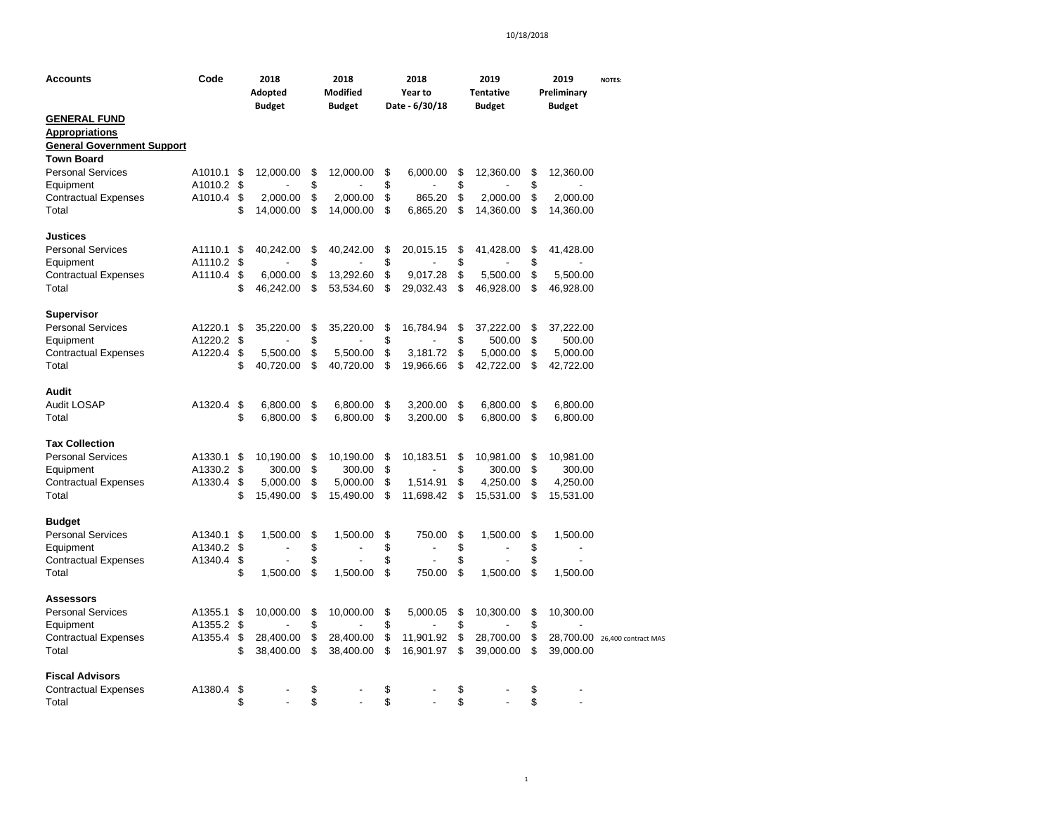| Accounts                             | Code    |          | 2018<br>Adopted<br><b>Budget</b> |          | 2018<br><b>Modified</b><br><b>Budget</b> |          | 2018<br>Year to<br>Date - 6/30/18 | 2019<br><b>Tentative</b><br><b>Budget</b> |           |          | 2019<br>Preliminary<br><b>Budget</b> | <b>NOTES:</b>                 |
|--------------------------------------|---------|----------|----------------------------------|----------|------------------------------------------|----------|-----------------------------------|-------------------------------------------|-----------|----------|--------------------------------------|-------------------------------|
| <b>GENERAL FUND</b>                  |         |          |                                  |          |                                          |          |                                   |                                           |           |          |                                      |                               |
| <b>Appropriations</b>                |         |          |                                  |          |                                          |          |                                   |                                           |           |          |                                      |                               |
| <b>General Government Support</b>    |         |          |                                  |          |                                          |          |                                   |                                           |           |          |                                      |                               |
| <b>Town Board</b>                    |         |          |                                  |          |                                          |          |                                   |                                           |           |          |                                      |                               |
| <b>Personal Services</b>             | A1010.1 | \$       | 12,000.00                        | \$       | 12,000.00                                | \$       | 6,000.00                          | \$                                        | 12,360.00 | \$       | 12,360.00                            |                               |
| Equipment                            | A1010.2 | \$       |                                  | \$       |                                          | \$       |                                   | \$                                        |           | \$       |                                      |                               |
| <b>Contractual Expenses</b>          | A1010.4 | \$       | 2,000.00                         | \$       | 2,000.00                                 | \$       | 865.20                            | \$                                        | 2,000.00  | \$       | 2,000.00                             |                               |
| Total                                |         | \$       | 14,000.00                        | \$       | 14,000.00                                | \$       | 6,865.20                          | \$                                        | 14,360.00 | \$       | 14,360.00                            |                               |
| Justices                             |         |          |                                  |          |                                          |          |                                   |                                           |           |          |                                      |                               |
| <b>Personal Services</b>             | A1110.1 | \$       | 40,242.00                        | \$       | 40,242.00                                | \$       | 20,015.15                         | \$                                        | 41,428.00 | \$       | 41,428.00                            |                               |
| Equipment                            | A1110.2 | \$       |                                  | \$       |                                          | \$       |                                   | \$                                        |           | \$       |                                      |                               |
| <b>Contractual Expenses</b>          | A1110.4 | \$       | 6,000.00                         | \$       | 13,292.60                                | \$       | 9,017.28                          | \$                                        | 5,500.00  | \$       | 5,500.00                             |                               |
| Total                                |         | \$       | 46,242.00                        | \$       | 53,534.60                                | S        | 29,032.43                         | \$                                        | 46,928.00 | \$       | 46,928.00                            |                               |
| Supervisor                           |         |          |                                  |          |                                          |          |                                   |                                           |           |          |                                      |                               |
| <b>Personal Services</b>             | A1220.1 | \$       | 35,220.00                        | \$       | 35,220.00                                | \$       | 16,784.94                         | \$                                        | 37,222.00 | \$       | 37,222.00                            |                               |
| Equipment                            | A1220.2 | \$       |                                  | \$       |                                          | \$       |                                   | \$                                        | 500.00    | \$       | 500.00                               |                               |
| <b>Contractual Expenses</b>          | A1220.4 | \$       | 5,500.00                         | \$       | 5,500.00                                 | \$       | 3,181.72                          | \$                                        | 5,000.00  | \$       | 5,000.00                             |                               |
| Total                                |         | \$       | 40,720.00                        | \$       | 40,720.00                                | \$       | 19,966.66                         | \$                                        | 42,722.00 | \$       | 42,722.00                            |                               |
| <b>Audit</b>                         |         |          |                                  |          |                                          |          |                                   |                                           |           |          |                                      |                               |
| <b>Audit LOSAP</b>                   | A1320.4 | \$       | 6,800.00                         | \$       | 6,800.00                                 | \$       | 3,200.00                          | \$                                        | 6,800.00  | \$       | 6,800.00                             |                               |
| Total                                |         | \$       | 6,800.00                         | \$       | 6,800.00                                 | \$       | 3,200.00                          | \$                                        | 6,800.00  | \$       | 6,800.00                             |                               |
| <b>Tax Collection</b>                |         |          |                                  |          |                                          |          |                                   |                                           |           |          |                                      |                               |
| <b>Personal Services</b>             | A1330.1 | \$       | 10,190.00                        | \$       | 10,190.00                                | \$       | 10,183.51                         | \$                                        | 10,981.00 | \$       | 10,981.00                            |                               |
| Equipment                            | A1330.2 | \$       | 300.00                           | \$       | 300.00                                   | \$       |                                   | \$                                        | 300.00    | \$       | 300.00                               |                               |
| <b>Contractual Expenses</b>          | A1330.4 | \$       | 5,000.00                         | \$       | 5,000.00                                 | \$       | 1,514.91                          | \$                                        | 4,250.00  | \$       | 4,250.00                             |                               |
| Total                                |         | \$       | 15,490.00                        | \$       | 15,490.00                                | \$       | 11,698.42                         | \$                                        | 15,531.00 | \$       | 15,531.00                            |                               |
| <b>Budget</b>                        |         |          |                                  |          |                                          |          |                                   |                                           |           |          |                                      |                               |
| <b>Personal Services</b>             | A1340.1 | \$       | 1,500.00                         | \$       | 1,500.00                                 | \$       | 750.00                            | \$                                        | 1,500.00  | \$       | 1,500.00                             |                               |
| Equipment                            | A1340.2 | \$       |                                  | \$       |                                          | \$       | $\overline{a}$                    | \$                                        |           | \$       | $\overline{\phantom{a}}$             |                               |
| <b>Contractual Expenses</b><br>Total | A1340.4 | \$<br>\$ | 1,500.00                         | \$<br>\$ | 1,500.00                                 | \$<br>\$ | 750.00                            | \$<br>\$                                  | 1,500.00  | \$<br>\$ | 1,500.00                             |                               |
| <b>Assessors</b>                     |         |          |                                  |          |                                          |          |                                   |                                           |           |          |                                      |                               |
| <b>Personal Services</b>             | A1355.1 | \$       | 10,000.00                        | \$       | 10,000.00                                | \$       | 5,000.05                          | \$                                        | 10,300.00 | \$       | 10,300.00                            |                               |
| Equipment                            | A1355.2 | \$       |                                  | \$       |                                          | \$       |                                   | \$                                        |           | \$       |                                      |                               |
| <b>Contractual Expenses</b>          | A1355.4 | \$       | 28,400.00                        | \$       | 28,400.00                                | \$       | 11,901.92                         | \$                                        | 28,700.00 | \$       |                                      | 28,700.00 26,400 contract MAS |
| Total                                |         | \$       | 38,400.00                        | \$       | 38,400.00                                | \$       | 16,901.97                         | \$                                        | 39,000.00 | \$       | 39,000.00                            |                               |
| <b>Fiscal Advisors</b>               |         |          |                                  |          |                                          |          |                                   |                                           |           |          |                                      |                               |
| <b>Contractual Expenses</b>          | A1380.4 | \$       |                                  | \$       |                                          | \$       |                                   | \$                                        |           | \$       |                                      |                               |
| Total                                |         | \$       |                                  | \$       |                                          | \$       |                                   | \$                                        |           | \$       |                                      |                               |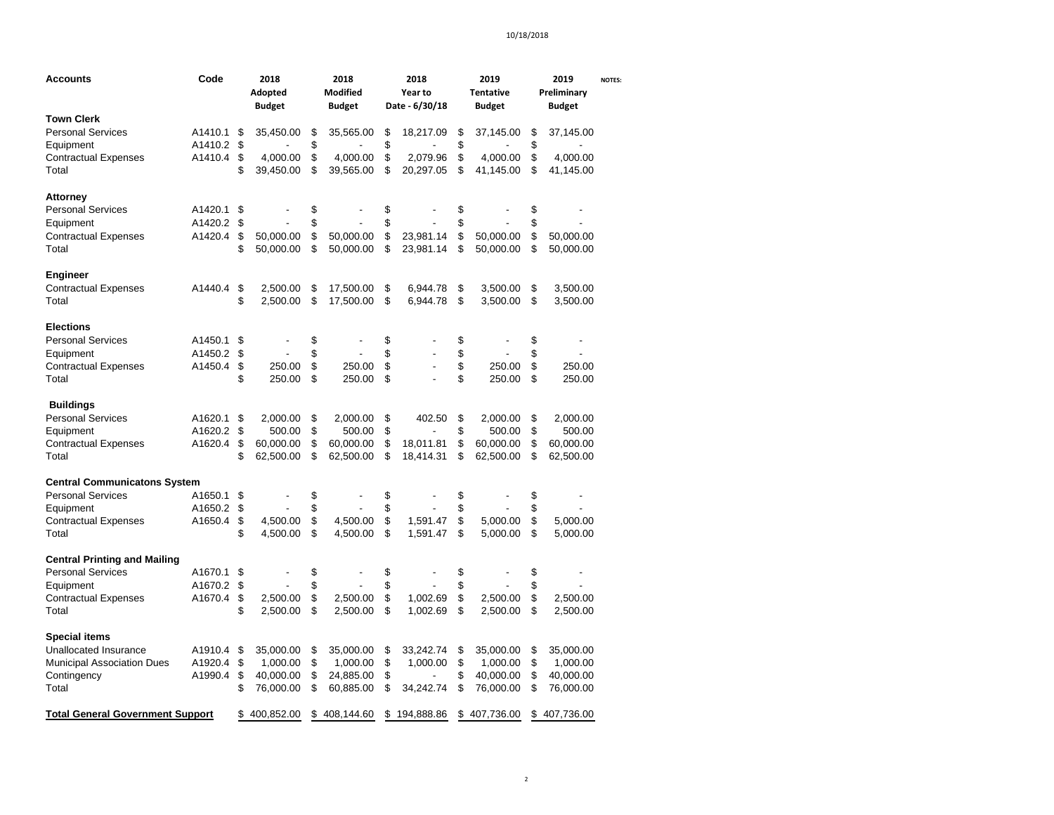| Accounts                                | Code    |          | 2018<br>Adopted<br><b>Budget</b> |          | 2018<br>Modified<br><b>Budget</b> |          | 2018<br>Year to<br>Date - 6/30/18 |          | 2019<br><b>Tentative</b><br><b>Budget</b> |          | 2019<br>Preliminary<br><b>Budget</b> | <b>NOTES:</b> |
|-----------------------------------------|---------|----------|----------------------------------|----------|-----------------------------------|----------|-----------------------------------|----------|-------------------------------------------|----------|--------------------------------------|---------------|
| <b>Town Clerk</b>                       |         |          |                                  |          |                                   |          |                                   |          |                                           |          |                                      |               |
| Personal Services                       | A1410.1 | \$       | 35,450.00                        | \$       | 35,565.00                         | \$       | 18,217.09                         | \$       | 37,145.00                                 | \$       | 37,145.00                            |               |
| Equipment                               | A1410.2 | \$       |                                  | \$       |                                   | \$       |                                   | \$       |                                           | \$       |                                      |               |
| Contractual Expenses                    | A1410.4 | \$       | 4,000.00                         | \$       | 4,000.00                          | \$       | 2,079.96                          | \$       | 4,000.00                                  | \$       | 4,000.00                             |               |
| Total                                   |         | \$       | 39,450.00                        | \$       | 39,565.00                         | \$       | 20,297.05                         | \$       | 41,145.00                                 | \$       | 41,145.00                            |               |
| Attorney                                |         |          |                                  |          |                                   |          |                                   |          |                                           |          |                                      |               |
| <b>Personal Services</b>                | A1420.1 | \$       |                                  | \$       |                                   | \$       |                                   | \$       |                                           | \$       |                                      |               |
| Equipment                               | A1420.2 | \$       |                                  | \$       |                                   | \$       |                                   | \$       |                                           | \$       |                                      |               |
| <b>Contractual Expenses</b>             | A1420.4 | \$       | 50,000.00                        | \$       | 50,000.00                         | \$       | 23,981.14                         | \$       | 50,000.00                                 | \$       | 50,000.00                            |               |
| Total                                   |         | \$       | 50,000.00                        | \$       | 50,000.00                         | \$       | 23,981.14                         | \$       | 50,000.00                                 | \$       | 50,000.00                            |               |
| Engineer                                |         |          |                                  |          |                                   |          |                                   |          |                                           |          |                                      |               |
| <b>Contractual Expenses</b>             | A1440.4 | \$       | 2,500.00                         | \$       | 17,500.00                         | \$       | 6,944.78                          | \$       | 3,500.00                                  | \$       | 3,500.00                             |               |
| Total                                   |         | \$       | 2,500.00                         | \$       | 17,500.00                         | \$       | 6,944.78                          | \$       | 3,500.00                                  | \$       | 3,500.00                             |               |
| <b>Elections</b>                        |         |          |                                  |          |                                   |          |                                   |          |                                           |          |                                      |               |
| <b>Personal Services</b>                | A1450.1 | \$       |                                  | \$       |                                   | \$       |                                   | \$       |                                           | \$       | $\overline{a}$                       |               |
| Equipment                               | A1450.2 | \$       |                                  | \$       |                                   | \$       | $\overline{a}$                    | \$       |                                           | \$       |                                      |               |
| Contractual Expenses                    | A1450.4 | \$       | 250.00                           | \$       | 250.00                            | \$       | $\overline{a}$                    | \$       | 250.00                                    | \$       | 250.00                               |               |
| Total                                   |         | \$       | 250.00                           | \$       | 250.00                            | \$       |                                   | \$       | 250.00                                    | \$       | 250.00                               |               |
| <b>Buildings</b>                        |         |          |                                  |          |                                   |          |                                   |          |                                           |          |                                      |               |
| <b>Personal Services</b>                | A1620.1 | \$       | 2,000.00                         | \$       | 2,000.00                          | \$       | 402.50                            | \$       | 2,000.00                                  | \$       | 2,000.00                             |               |
| Equipment                               | A1620.2 | \$       | 500.00                           | \$       | 500.00                            | \$       |                                   | \$       | 500.00                                    | \$       | 500.00                               |               |
| <b>Contractual Expenses</b>             | A1620.4 | \$       | 60,000.00                        | \$       | 60,000.00                         | \$       | 18.011.81                         | \$       | 60,000.00                                 | \$       | 60,000.00                            |               |
| Total                                   |         | \$       | 62,500.00                        | \$       | 62,500.00                         | \$       | 18,414.31                         | \$       | 62,500.00                                 | \$       | 62,500.00                            |               |
| <b>Central Communicatons System</b>     |         |          |                                  |          |                                   |          |                                   |          |                                           |          |                                      |               |
| <b>Personal Services</b>                | A1650.1 | \$       |                                  | \$       |                                   | \$       |                                   | \$       |                                           | \$       |                                      |               |
| Equipment                               | A1650.2 | \$       |                                  | \$       |                                   | \$       |                                   | \$       |                                           | \$       |                                      |               |
| <b>Contractual Expenses</b>             | A1650.4 | \$       | 4,500.00                         | \$       | 4,500.00                          | \$       | 1,591.47                          | \$       | 5,000.00                                  | \$       | 5,000.00                             |               |
| Total                                   |         | \$       | 4,500.00                         | \$       | 4,500.00                          | \$       | 1,591.47                          | \$       | 5,000.00                                  | \$       | 5,000.00                             |               |
| <b>Central Printing and Mailing</b>     |         |          |                                  |          |                                   |          |                                   |          |                                           |          |                                      |               |
| <b>Personal Services</b>                | A1670.1 | \$       |                                  | \$       |                                   | \$       |                                   | \$       |                                           | \$       |                                      |               |
| Equipment                               | A1670.2 | \$       |                                  | \$       |                                   | \$       |                                   | \$       |                                           | \$       |                                      |               |
| Contractual Expenses<br>Total           | A1670.4 | \$<br>\$ | 2,500.00<br>2,500.00             | \$<br>\$ | 2,500.00<br>2,500.00              | \$<br>\$ | 1,002.69<br>1,002.69              | \$<br>\$ | 2,500.00<br>2,500.00                      | \$<br>\$ | 2,500.00<br>2,500.00                 |               |
| <b>Special items</b>                    |         |          |                                  |          |                                   |          |                                   |          |                                           |          |                                      |               |
| <b>Unallocated Insurance</b>            | A1910.4 | \$       | 35,000.00                        | \$       | 35,000.00                         | \$       | 33,242.74                         | \$       | 35,000.00                                 | \$       | 35,000.00                            |               |
| <b>Municipal Association Dues</b>       | A1920.4 | \$       | 1,000.00                         | \$       | 1,000.00                          | \$       | 1,000.00                          | \$       | 1,000.00                                  | \$       | 1,000.00                             |               |
| Contingency                             | A1990.4 | \$       | 40,000.00                        | \$       | 24,885.00                         | \$       |                                   | \$       | 40,000.00                                 | \$       | 40,000.00                            |               |
| Total                                   |         | \$       | 76,000.00                        | \$       | 60,885.00                         | \$       | 34,242.74                         | \$       | 76,000.00                                 | \$       | 76,000.00                            |               |
|                                         |         | \$       | 400,852.00                       | \$       | 408,144.60                        | \$       | 194,888.86                        | \$       | 407,736.00                                | \$       | 407,736.00                           |               |
| <b>Total General Government Support</b> |         |          |                                  |          |                                   |          |                                   |          |                                           |          |                                      |               |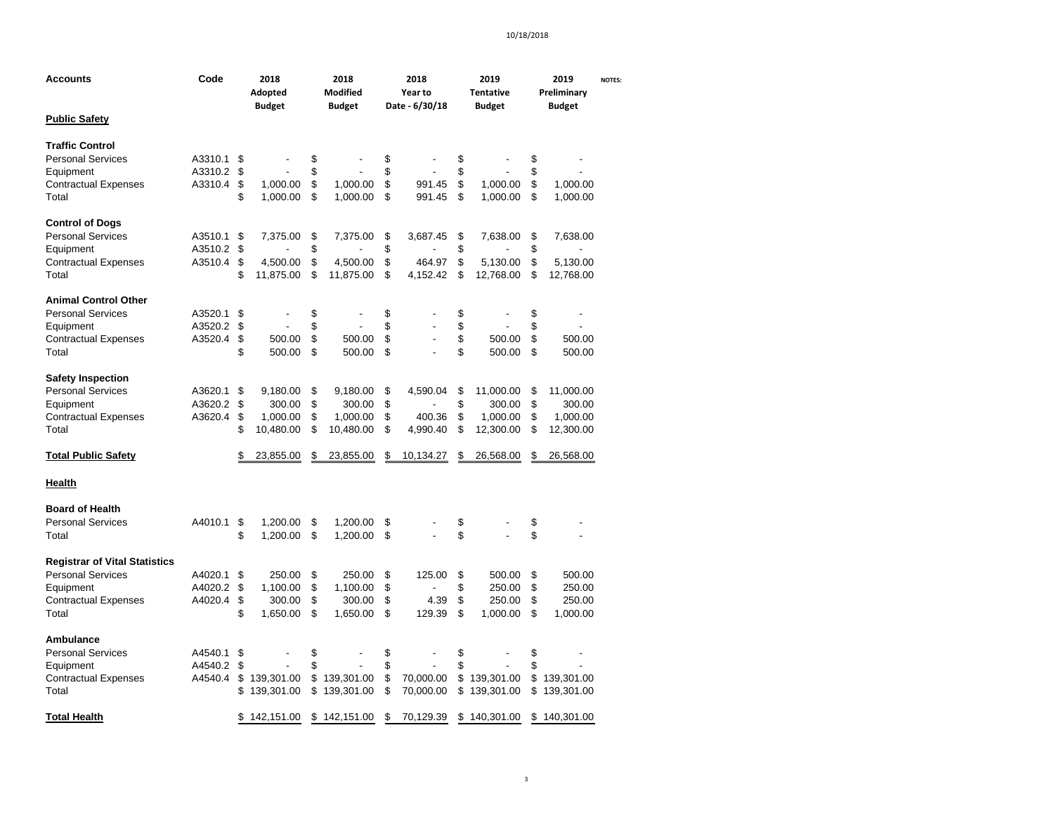| Accounts                                                                                                              | Code                          |                      | 2018<br>Adopted<br><b>Budget</b>            |                      | 2018<br>Modified<br><b>Budget</b>           |                      | 2018<br>Year to<br>Date - 6/30/18 |                      | 2019<br><b>Tentative</b><br><b>Budget</b>    |                      | 2019<br>Preliminary<br><b>Budget</b>         | <b>NOTES:</b> |
|-----------------------------------------------------------------------------------------------------------------------|-------------------------------|----------------------|---------------------------------------------|----------------------|---------------------------------------------|----------------------|-----------------------------------|----------------------|----------------------------------------------|----------------------|----------------------------------------------|---------------|
| <b>Public Safety</b>                                                                                                  |                               |                      |                                             |                      |                                             |                      |                                   |                      |                                              |                      |                                              |               |
| <b>Traffic Control</b><br><b>Personal Services</b><br>Equipment<br><b>Contractual Expenses</b>                        | A3310.1<br>A3310.2<br>A3310.4 | \$<br>\$<br>\$       | 1,000.00                                    | \$<br>\$<br>\$       | 1,000.00                                    | \$<br>\$<br>\$       | 991.45                            | \$<br>\$<br>\$       | 1,000.00                                     | \$<br>\$<br>\$       | 1,000.00                                     |               |
| Total                                                                                                                 |                               | \$                   | 1,000.00                                    | \$                   | 1,000.00                                    | \$                   | 991.45                            | \$                   | 1,000.00                                     | \$                   | 1,000.00                                     |               |
| <b>Control of Dogs</b><br><b>Personal Services</b><br>Equipment<br><b>Contractual Expenses</b><br>Total               | A3510.1<br>A3510.2<br>A3510.4 | \$<br>\$<br>\$<br>\$ | 7,375.00<br>4,500.00<br>11,875.00           | \$<br>\$<br>\$<br>\$ | 7,375.00<br>4,500.00<br>11,875.00           | \$<br>\$<br>\$<br>\$ | 3,687.45<br>464.97<br>4,152.42    | \$<br>\$<br>\$<br>\$ | 7,638.00<br>5,130.00<br>12,768.00            | \$<br>\$<br>\$<br>\$ | 7,638.00<br>5,130.00<br>12,768.00            |               |
| <b>Animal Control Other</b><br><b>Personal Services</b><br>Equipment<br><b>Contractual Expenses</b><br>Total          | A3520.1<br>A3520.2<br>A3520.4 | \$<br>\$<br>\$<br>\$ | 500.00<br>500.00                            | \$<br>\$<br>\$<br>\$ | 500.00<br>500.00                            | \$<br>\$<br>\$<br>\$ | Ĭ.<br>÷,                          | \$<br>\$<br>\$<br>\$ | 500.00<br>500.00                             | \$<br>\$<br>\$<br>\$ | 500.00<br>500.00                             |               |
| <b>Safety Inspection</b><br><b>Personal Services</b><br>Equipment<br><b>Contractual Expenses</b><br>Total             | A3620.1<br>A3620.2<br>A3620.4 | \$<br>\$<br>\$<br>\$ | 9,180.00<br>300.00<br>1,000.00<br>10,480.00 | \$<br>\$<br>\$<br>\$ | 9,180.00<br>300.00<br>1,000.00<br>10,480.00 | \$<br>\$<br>\$<br>\$ | 4,590.04<br>400.36<br>4,990.40    | \$<br>\$<br>\$<br>\$ | 11,000.00<br>300.00<br>1,000.00<br>12,300.00 | \$<br>\$<br>\$<br>\$ | 11,000.00<br>300.00<br>1,000.00<br>12,300.00 |               |
| <b>Total Public Safety</b>                                                                                            |                               | \$                   | 23,855.00                                   | \$                   | 23,855.00                                   | \$                   | 10,134.27                         | \$                   | 26,568.00                                    | \$                   | 26,568.00                                    |               |
| <b>Health</b>                                                                                                         |                               |                      |                                             |                      |                                             |                      |                                   |                      |                                              |                      |                                              |               |
| <b>Board of Health</b><br><b>Personal Services</b><br>Total                                                           | A4010.1                       | \$<br>\$             | 1,200.00<br>1,200.00                        | \$<br>\$             | 1,200.00<br>1,200.00                        | \$<br>\$             |                                   | \$<br>\$             |                                              | \$<br>\$             |                                              |               |
| <b>Registrar of Vital Statistics</b><br><b>Personal Services</b><br>Equipment<br><b>Contractual Expenses</b><br>Total | A4020.1<br>A4020.2<br>A4020.4 | \$<br>\$<br>\$<br>\$ | 250.00<br>1,100.00<br>300.00<br>1,650.00    | \$<br>\$<br>\$<br>\$ | 250.00<br>1,100.00<br>300.00<br>1,650.00    | \$<br>\$<br>\$<br>\$ | 125.00<br>4.39<br>129.39          | \$<br>\$<br>\$<br>\$ | 500.00<br>250.00<br>250.00<br>1,000.00       | \$<br>\$<br>\$<br>\$ | 500.00<br>250.00<br>250.00<br>1,000.00       |               |
| <b>Ambulance</b><br><b>Personal Services</b><br>Equipment<br><b>Contractual Expenses</b><br>Total                     | A4540.1<br>A4540.2<br>A4540.4 | \$<br>\$<br>\$<br>\$ | 139,301.00<br>139,301.00                    | \$<br>\$<br>\$<br>\$ | 139,301.00<br>139,301.00                    | \$<br>\$<br>\$<br>\$ | 70,000.00<br>70,000.00            | \$<br>\$<br>\$<br>\$ | 139,301.00<br>139,301.00                     | \$<br>\$<br>\$<br>\$ | 139,301.00<br>139,301.00                     |               |
| <b>Total Health</b>                                                                                                   |                               | \$                   | 142,151.00                                  |                      | \$142,151.00                                | \$                   | 70,129.39                         |                      | \$140,301.00                                 |                      | \$140,301.00                                 |               |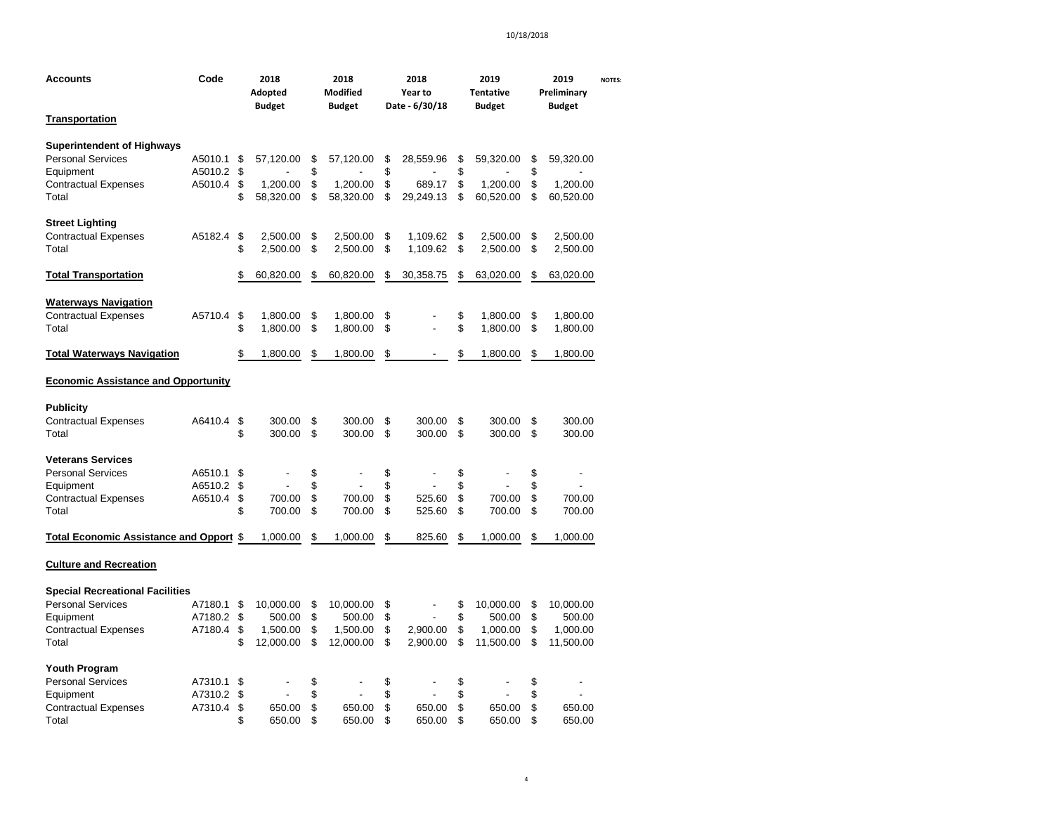| Accounts                                                                                                                | Code                          | 2018<br>Adopted<br><b>Budget</b> |                                              | 2018<br>Modified<br><b>Budget</b> |                                              | 2018<br>Year to<br>Date - 6/30/18 |                                    |                      | 2019<br><b>Tentative</b><br><b>Budget</b>    | Preliminary          | <b>NOTES:</b>                                |  |
|-------------------------------------------------------------------------------------------------------------------------|-------------------------------|----------------------------------|----------------------------------------------|-----------------------------------|----------------------------------------------|-----------------------------------|------------------------------------|----------------------|----------------------------------------------|----------------------|----------------------------------------------|--|
| <b>Transportation</b>                                                                                                   |                               |                                  |                                              |                                   |                                              |                                   |                                    |                      |                                              |                      | <b>Budget</b>                                |  |
| <b>Superintendent of Highways</b><br><b>Personal Services</b><br>Equipment<br><b>Contractual Expenses</b><br>Total      | A5010.1<br>A5010.2<br>A5010.4 | \$<br>\$<br>\$<br>\$             | 57,120.00<br>1,200.00<br>58,320.00           | \$<br>\$<br>\$<br>\$              | 57,120.00<br>1,200.00<br>58,320.00           | \$<br>\$<br>\$<br>\$              | 28,559.96<br>689.17<br>29.249.13   | \$<br>\$<br>\$<br>\$ | 59,320.00<br>1,200.00<br>60,520.00           | \$<br>\$<br>\$<br>\$ | 59,320.00<br>1,200.00<br>60,520.00           |  |
| <b>Street Lighting</b><br><b>Contractual Expenses</b><br>Total                                                          | A5182.4                       | \$<br>\$                         | 2,500.00<br>2,500.00                         | \$<br>\$                          | 2,500.00<br>2,500.00                         | \$<br>\$                          | 1,109.62<br>1,109.62               | \$<br>\$             | 2,500.00<br>2,500.00                         | \$<br>\$             | 2,500.00<br>2,500.00                         |  |
| <b>Total Transportation</b>                                                                                             |                               | \$                               | 60,820.00                                    | \$                                | 60,820.00                                    | \$                                | 30,358.75                          | \$                   | 63,020.00                                    | \$                   | 63,020.00                                    |  |
| <b>Waterways Navigation</b><br><b>Contractual Expenses</b><br>Total                                                     | A5710.4                       | \$<br>\$                         | 1,800.00<br>1,800.00                         | \$<br>\$                          | 1,800.00<br>1,800.00                         | \$<br>\$                          |                                    | \$<br>\$             | 1,800.00<br>1,800.00                         | \$<br>\$             | 1,800.00<br>1,800.00                         |  |
| <b>Total Waterways Navigation</b>                                                                                       |                               | \$                               | 1,800.00                                     | \$                                | 1,800.00                                     | \$                                |                                    | \$                   | 1,800.00                                     | \$                   | 1,800.00                                     |  |
| <b>Economic Assistance and Opportunity</b>                                                                              |                               |                                  |                                              |                                   |                                              |                                   |                                    |                      |                                              |                      |                                              |  |
| <b>Publicity</b><br><b>Contractual Expenses</b><br>Total                                                                | A6410.4                       | \$<br>\$                         | 300.00<br>300.00                             | \$<br>\$                          | 300.00<br>300.00                             | \$<br>\$                          | 300.00<br>300.00                   | \$<br>\$             | 300.00<br>300.00                             | \$<br>\$             | 300.00<br>300.00                             |  |
| <b>Veterans Services</b><br><b>Personal Services</b><br>Equipment<br><b>Contractual Expenses</b><br>Total               | A6510.1<br>A6510.2<br>A6510.4 | \$<br>\$<br>\$<br>\$             | 700.00<br>700.00                             | \$<br>\$<br>\$<br>\$              | 700.00<br>700.00                             | \$<br>\$<br>\$<br>\$              | $\overline{a}$<br>525.60<br>525.60 | \$<br>\$<br>\$<br>\$ | 700.00<br>700.00                             | \$<br>\$<br>\$<br>\$ | 700.00<br>700.00                             |  |
| Total Economic Assistance and Opport \$                                                                                 |                               |                                  | 1,000.00                                     | \$                                | 1,000.00                                     | \$                                | 825.60                             | \$                   | 1,000.00                                     | \$                   | 1,000.00                                     |  |
| <b>Culture and Recreation</b>                                                                                           |                               |                                  |                                              |                                   |                                              |                                   |                                    |                      |                                              |                      |                                              |  |
| <b>Special Recreational Facilities</b><br><b>Personal Services</b><br>Equipment<br><b>Contractual Expenses</b><br>Total | A7180.1<br>A7180.2<br>A7180.4 | \$<br>\$<br>\$<br>\$             | 10,000.00<br>500.00<br>1,500.00<br>12,000.00 | \$<br>\$<br>\$<br>\$              | 10,000.00<br>500.00<br>1,500.00<br>12,000.00 | \$<br>\$<br>\$<br>\$              | 2,900.00<br>2,900.00               | \$<br>\$<br>\$<br>\$ | 10,000.00<br>500.00<br>1,000.00<br>11,500.00 | \$<br>\$<br>\$<br>\$ | 10,000.00<br>500.00<br>1,000.00<br>11,500.00 |  |
| <b>Youth Program</b><br><b>Personal Services</b><br>Equipment<br><b>Contractual Expenses</b><br>Total                   | A7310.1<br>A7310.2<br>A7310.4 | \$<br>\$<br>\$<br>\$             | 650.00<br>650.00                             | \$<br>\$<br>\$<br>\$              | 650.00<br>650.00                             | \$<br>\$<br>\$<br>\$              | 650.00<br>650.00                   | \$<br>\$<br>\$<br>\$ | 650.00<br>650.00                             | \$<br>\$<br>\$<br>\$ | ٠<br>650.00<br>650.00                        |  |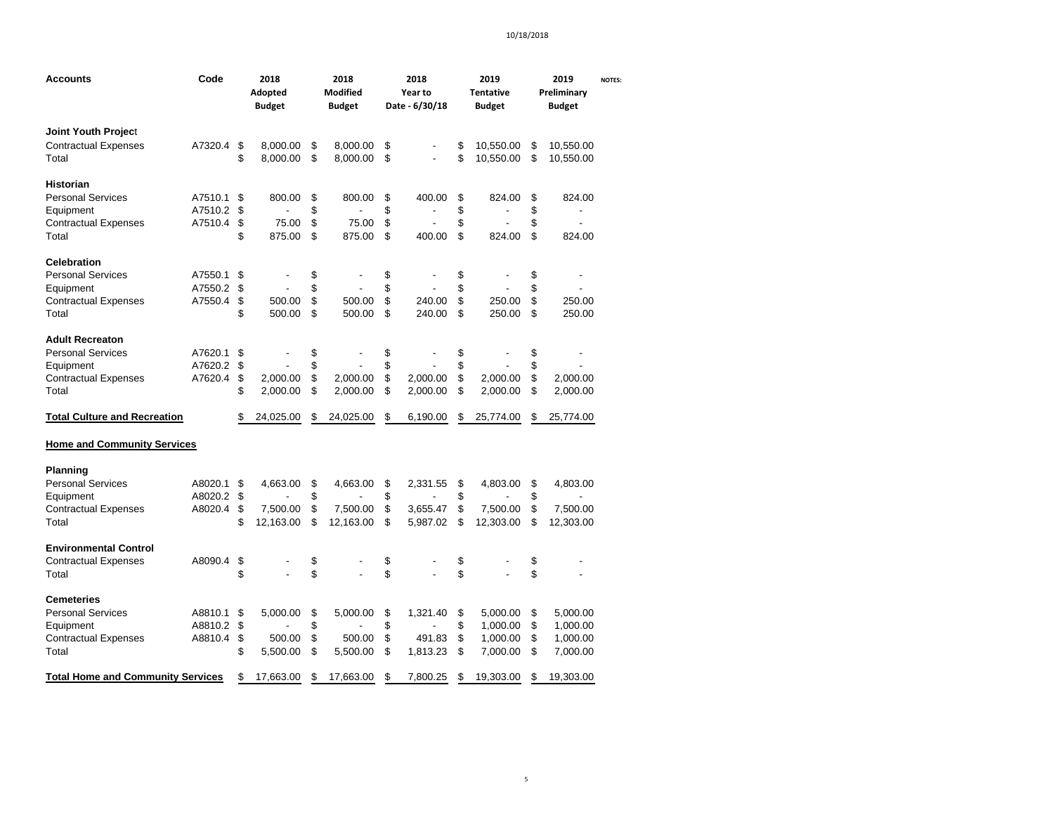| Accounts                                 | Code    |    | 2018<br>Adopted<br><b>Budget</b> |    | 2018<br><b>Modified</b><br><b>Budget</b> | 2018<br>Year to<br>Date - 6/30/18 | 2019<br><b>Tentative</b><br><b>Budget</b> | 2019<br>Preliminary<br><b>Budget</b> | <b>NOTES:</b> |
|------------------------------------------|---------|----|----------------------------------|----|------------------------------------------|-----------------------------------|-------------------------------------------|--------------------------------------|---------------|
| Joint Youth Project                      |         |    |                                  |    |                                          |                                   |                                           |                                      |               |
| <b>Contractual Expenses</b>              | A7320.4 | \$ | 8,000.00                         | \$ | 8,000.00                                 | \$                                | \$<br>10,550.00                           | \$<br>10,550.00                      |               |
| Total                                    |         | \$ | 8,000.00                         | \$ | 8,000.00                                 | \$                                | \$<br>10,550.00                           | \$<br>10,550.00                      |               |
|                                          |         |    |                                  |    |                                          |                                   |                                           |                                      |               |
| Historian                                |         |    |                                  |    |                                          |                                   |                                           |                                      |               |
| <b>Personal Services</b>                 | A7510.1 | \$ | 800.00                           | \$ | 800.00                                   | \$<br>400.00                      | \$<br>824.00                              | \$<br>824.00                         |               |
| Equipment                                | A7510.2 | \$ |                                  | \$ |                                          | \$                                | \$                                        | \$                                   |               |
| <b>Contractual Expenses</b>              | A7510.4 | \$ | 75.00                            | \$ | 75.00                                    | \$                                | \$                                        | \$<br>٠                              |               |
| Total                                    |         | \$ | 875.00                           | \$ | 875.00                                   | \$<br>400.00                      | \$<br>824.00                              | \$<br>824.00                         |               |
| <b>Celebration</b>                       |         |    |                                  |    |                                          |                                   |                                           |                                      |               |
| <b>Personal Services</b>                 | A7550.1 | \$ |                                  | \$ |                                          | \$                                | \$                                        | \$                                   |               |
| Equipment                                | A7550.2 | \$ |                                  | \$ |                                          | \$                                | \$                                        | \$                                   |               |
| <b>Contractual Expenses</b>              | A7550.4 | \$ | 500.00                           | \$ | 500.00                                   | \$<br>240.00                      | \$<br>250.00                              | \$<br>250.00                         |               |
| Total                                    |         |    | 500.00                           | \$ | 500.00                                   | \$<br>240.00                      | \$<br>250.00                              | \$                                   |               |
|                                          |         | \$ |                                  |    |                                          |                                   |                                           | 250.00                               |               |
| <b>Adult Recreaton</b>                   |         |    |                                  |    |                                          |                                   |                                           |                                      |               |
| <b>Personal Services</b>                 | A7620.1 | \$ |                                  | \$ |                                          | \$                                | \$                                        | \$                                   |               |
| Equipment                                | A7620.2 | \$ |                                  | \$ |                                          | \$                                | \$                                        | \$                                   |               |
| <b>Contractual Expenses</b>              | A7620.4 | \$ | 2,000.00                         | \$ | 2,000.00                                 | \$<br>2,000.00                    | \$<br>2,000.00                            | \$<br>2,000.00                       |               |
| Total                                    |         | \$ | 2,000.00                         | \$ | 2,000.00                                 | \$<br>2,000.00                    | \$<br>2,000.00                            | \$<br>2,000.00                       |               |
| <b>Total Culture and Recreation</b>      |         | \$ | 24,025.00                        | S  | 24,025.00                                | \$<br>6,190.00                    | \$<br>25,774.00                           | \$<br>25,774.00                      |               |
| <b>Home and Community Services</b>       |         |    |                                  |    |                                          |                                   |                                           |                                      |               |
| <b>Planning</b>                          |         |    |                                  |    |                                          |                                   |                                           |                                      |               |
| <b>Personal Services</b>                 | A8020.1 | \$ | 4,663.00                         | \$ | 4,663.00                                 | \$<br>2,331.55                    | \$<br>4,803.00                            | \$<br>4,803.00                       |               |
| Equipment                                | A8020.2 | \$ |                                  | \$ |                                          | \$                                | \$                                        | \$                                   |               |
| <b>Contractual Expenses</b>              | A8020.4 | \$ | 7,500.00                         | \$ | 7,500.00                                 | \$<br>3,655.47                    | \$<br>7,500.00                            | \$<br>7,500.00                       |               |
| Total                                    |         | \$ | 12,163.00                        | \$ | 12,163.00                                | \$<br>5,987.02                    | \$<br>12,303.00                           | \$<br>12,303.00                      |               |
| <b>Environmental Control</b>             |         |    |                                  |    |                                          |                                   |                                           |                                      |               |
| Contractual Expenses                     | A8090.4 | \$ |                                  | \$ |                                          | \$                                | \$                                        | \$                                   |               |
| Total                                    |         | \$ |                                  | \$ |                                          | \$                                | \$                                        | \$                                   |               |
| Cemeteries                               |         |    |                                  |    |                                          |                                   |                                           |                                      |               |
|                                          |         |    |                                  |    |                                          |                                   |                                           |                                      |               |
| <b>Personal Services</b>                 | A8810.1 | \$ | 5,000.00                         | \$ | 5,000.00                                 | \$<br>1,321.40                    | \$<br>5,000.00                            | \$<br>5,000.00                       |               |
| Equipment                                | A8810.2 | \$ |                                  | \$ |                                          | \$                                | \$<br>1,000.00                            | \$<br>1,000.00                       |               |
| <b>Contractual Expenses</b>              | A8810.4 | \$ | 500.00                           | \$ | 500.00                                   | \$<br>491.83                      | \$<br>1,000.00                            | \$<br>1,000.00                       |               |
| Total                                    |         | \$ | 5,500.00                         | \$ | 5,500.00                                 | \$<br>1,813.23                    | \$<br>7,000.00                            | \$<br>7,000.00                       |               |
| <b>Total Home and Community Services</b> |         | S  | 17,663.00                        | S  | 17,663.00                                | \$<br>7,800.25                    | \$<br>19,303.00                           | \$<br>19,303.00                      |               |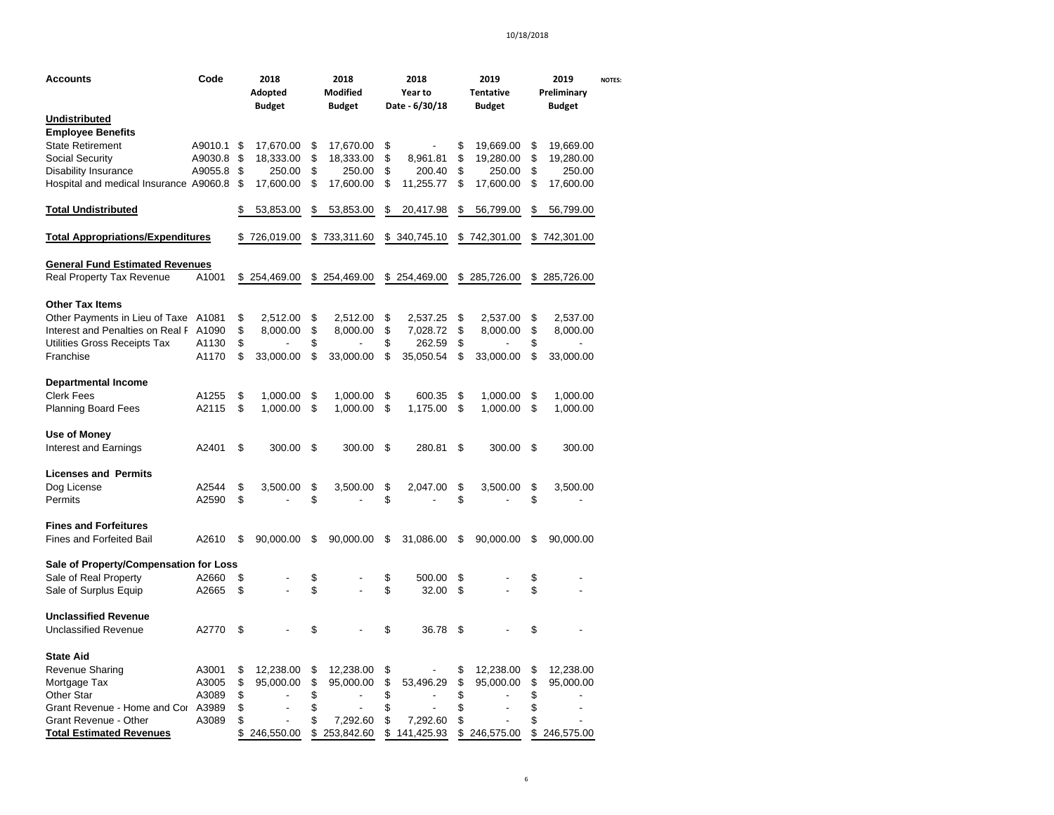| Accounts                                 | Code    | 2018<br>Adopted<br><b>Budget</b> |              | 2018<br><b>Modified</b><br><b>Budget</b> | 2018<br>Year to<br>Date - 6/30/18 | 2019<br><b>Tentative</b><br><b>Budget</b> |              | 2019<br>Preliminary<br><b>Budget</b> |              | <b>NOTES:</b> |
|------------------------------------------|---------|----------------------------------|--------------|------------------------------------------|-----------------------------------|-------------------------------------------|--------------|--------------------------------------|--------------|---------------|
| Undistributed                            |         |                                  |              |                                          |                                   |                                           |              |                                      |              |               |
| <b>Employee Benefits</b>                 |         |                                  |              |                                          |                                   |                                           |              |                                      |              |               |
| <b>State Retirement</b>                  | A9010.1 | \$                               | 17,670.00    | \$<br>17,670.00                          | \$                                | \$                                        | 19,669.00    | \$                                   | 19,669.00    |               |
| <b>Social Security</b>                   | A9030.8 | \$                               | 18,333.00    | \$<br>18,333.00                          | \$<br>8,961.81                    | \$                                        | 19,280.00    | \$                                   | 19,280.00    |               |
| Disability Insurance                     | A9055.8 | \$                               | 250.00       | \$<br>250.00                             | \$<br>200.40                      | \$                                        | 250.00       | \$                                   | 250.00       |               |
| Hospital and medical Insurance A9060.8   |         | S                                | 17,600.00    | \$<br>17,600.00                          | \$<br>11,255.77                   | \$                                        | 17,600.00    | \$                                   | 17,600.00    |               |
| <b>Total Undistributed</b>               |         | \$                               | 53,853.00    | \$<br>53,853.00                          | \$<br>20,417.98                   | \$                                        | 56,799.00    | \$                                   | 56,799.00    |               |
| <b>Total Appropriations/Expenditures</b> |         |                                  | \$726,019.00 | \$<br>733,311.60                         | \$ 340,745.10                     | \$                                        | 742,301.00   | \$                                   | 742,301.00   |               |
| <b>General Fund Estimated Revenues</b>   |         |                                  |              |                                          |                                   |                                           |              |                                      |              |               |
| Real Property Tax Revenue                | A1001   |                                  | \$254,469.00 | \$254,469.00                             | \$254,469.00                      |                                           | \$285,726.00 |                                      | \$285,726.00 |               |
| Other Tax Items                          |         |                                  |              |                                          |                                   |                                           |              |                                      |              |               |
| Other Payments in Lieu of Taxe           | A1081   | \$                               | 2,512.00     | \$<br>2,512.00                           | \$<br>2,537.25                    | \$                                        | 2,537.00     | \$                                   | 2,537.00     |               |
| Interest and Penalties on Real F         | A1090   | \$                               | 8,000.00     | \$<br>8,000.00                           | \$<br>7,028.72                    | \$                                        | 8,000.00     | \$                                   | 8,000.00     |               |
| Utilities Gross Receipts Tax             | A1130   | \$                               |              | \$                                       | \$<br>262.59                      | \$                                        |              | \$                                   |              |               |
| Franchise                                | A1170   | \$                               | 33,000.00    | \$<br>33,000.00                          | \$<br>35,050.54                   | \$                                        | 33,000.00    | \$                                   | 33,000.00    |               |
| <b>Departmental Income</b>               |         |                                  |              |                                          |                                   |                                           |              |                                      |              |               |
| <b>Clerk Fees</b>                        | A1255   | \$                               | 1,000.00     | \$<br>1,000.00                           | \$<br>600.35                      | \$                                        | 1,000.00     | \$                                   | 1,000.00     |               |
| <b>Planning Board Fees</b>               | A2115   | \$                               | 1,000.00     | \$<br>1,000.00                           | \$<br>1,175.00                    | \$                                        | 1,000.00     | \$                                   | 1,000.00     |               |
| Use of Money                             |         |                                  |              |                                          |                                   |                                           |              |                                      |              |               |
| <b>Interest and Earnings</b>             | A2401   | \$                               | 300.00       | \$<br>300.00                             | \$<br>280.81                      | \$                                        | 300.00       | \$                                   | 300.00       |               |
| <b>Licenses and Permits</b>              |         |                                  |              |                                          |                                   |                                           |              |                                      |              |               |
| Dog License                              | A2544   | \$                               | 3,500.00     | \$<br>3,500.00                           | \$<br>2,047.00                    | \$                                        | 3,500.00     | \$                                   | 3,500.00     |               |
| Permits                                  | A2590   | \$                               |              | \$                                       | \$                                | \$                                        |              | \$                                   |              |               |
| <b>Fines and Forfeitures</b>             |         |                                  |              |                                          |                                   |                                           |              |                                      |              |               |
| <b>Fines and Forfeited Bail</b>          | A2610   | \$                               | 90,000.00    | \$<br>90,000.00                          | \$<br>31,086.00                   | \$                                        | 90,000.00    | \$                                   | 90,000.00    |               |
| Sale of Property/Compensation for Loss   |         |                                  |              |                                          |                                   |                                           |              |                                      |              |               |
| Sale of Real Property                    | A2660   | \$                               |              | \$                                       | \$<br>500.00                      | \$                                        |              | \$                                   |              |               |
| Sale of Surplus Equip                    | A2665   | \$                               |              | \$                                       | \$<br>32.00                       | \$                                        |              | \$                                   |              |               |
| <b>Unclassified Revenue</b>              |         |                                  |              |                                          |                                   |                                           |              |                                      |              |               |
| <b>Unclassified Revenue</b>              | A2770   | \$                               |              | \$                                       | \$<br>36.78                       | \$                                        |              | \$                                   |              |               |
| <b>State Aid</b>                         |         |                                  |              |                                          |                                   |                                           |              |                                      |              |               |
| Revenue Sharing                          | A3001   | \$                               | 12,238.00    | \$<br>12,238.00                          | \$                                | \$                                        | 12,238.00    | \$                                   | 12,238.00    |               |
| Mortgage Tax                             | A3005   | \$                               | 95,000.00    | \$<br>95,000.00                          | \$<br>53,496.29                   | \$                                        | 95,000.00    | \$                                   | 95,000.00    |               |
| Other Star                               | A3089   | \$                               |              | \$                                       | \$                                | \$                                        |              | \$                                   |              |               |
| Grant Revenue - Home and Cor             | A3989   | \$                               |              | \$                                       | \$                                | \$                                        |              | \$                                   |              |               |
| Grant Revenue - Other                    | A3089   | \$                               |              | \$<br>7,292.60                           | \$<br>7,292.60                    | \$                                        |              | \$                                   |              |               |
| <b>Total Estimated Revenues</b>          |         | \$                               | 246,550.00   | \$<br>253,842.60                         | \$<br>141,425.93                  |                                           | \$246,575.00 | \$                                   | 246,575.00   |               |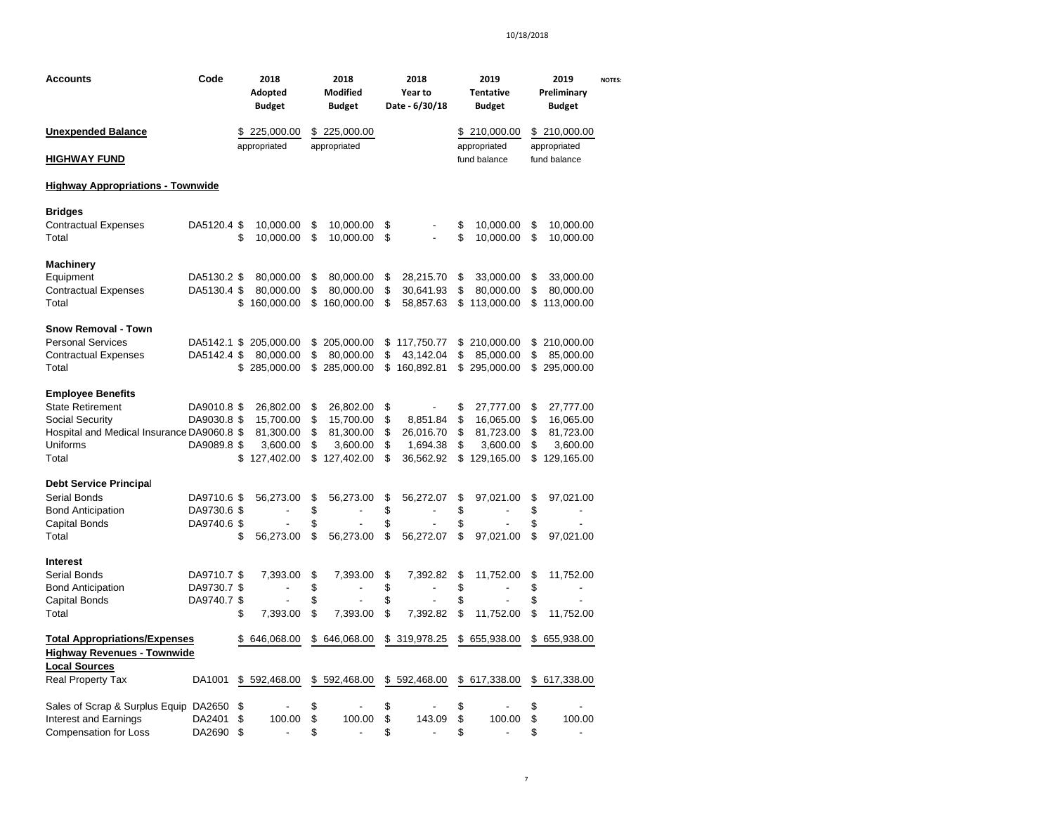| Code<br><b>Accounts</b>                    |             | 2018<br>Adopted<br><b>Budget</b> |          | 2018<br>Modified<br><b>Budget</b> |          | 2018<br>Year to<br>Date - 6/30/18 |          | 2019<br><b>Tentative</b><br><b>Budget</b> |          | 2019<br>Preliminary<br><b>Budget</b> | <b>NOTES:</b> |
|--------------------------------------------|-------------|----------------------------------|----------|-----------------------------------|----------|-----------------------------------|----------|-------------------------------------------|----------|--------------------------------------|---------------|
| <b>Unexpended Balance</b>                  |             | \$225,000.00                     |          | \$225,000.00                      |          |                                   |          | \$210,000.00                              |          | \$210,000.00                         |               |
| <b>HIGHWAY FUND</b>                        |             | appropriated                     |          | appropriated                      |          |                                   |          | appropriated<br>fund balance              |          | appropriated<br>fund balance         |               |
| <b>Highway Appropriations - Townwide</b>   |             |                                  |          |                                   |          |                                   |          |                                           |          |                                      |               |
| <b>Bridges</b>                             |             |                                  |          |                                   |          |                                   |          |                                           |          |                                      |               |
| <b>Contractual Expenses</b><br>Total       | DA5120.4 \$ | \$<br>10,000.00<br>10,000.00     | \$<br>\$ | 10,000.00<br>10,000.00            | \$<br>\$ |                                   | \$<br>\$ | 10,000.00<br>10,000.00                    | \$<br>\$ | 10,000.00<br>10,000.00               |               |
| <b>Machinery</b>                           |             |                                  |          |                                   |          |                                   |          |                                           |          |                                      |               |
| Equipment                                  | DA5130.2 \$ | 80,000.00                        | \$       | 80,000.00                         | \$       | 28,215.70                         | \$       | 33,000.00                                 | \$       | 33,000.00                            |               |
| <b>Contractual Expenses</b>                | DA5130.4 \$ | 80,000.00                        | \$       | 80,000.00                         | \$       | 30,641.93                         | \$       | 80,000.00                                 | \$       | 80,000.00                            |               |
| Total                                      |             | \$<br>160,000.00                 | \$       | 160,000.00                        | \$       | 58,857.63                         | \$       | 113,000.00                                | \$       | 113,000.00                           |               |
| <b>Snow Removal - Town</b>                 |             |                                  |          |                                   |          |                                   |          |                                           |          |                                      |               |
| <b>Personal Services</b>                   | DA5142.1 \$ | 205,000.00                       | \$       | 205,000.00                        | \$       | 117,750.77                        | \$       | 210,000.00                                | \$       | 210,000.00                           |               |
| <b>Contractual Expenses</b>                | DA5142.4 \$ | 80,000.00                        | \$       | 80,000.00                         | \$       | 43,142.04                         | \$       | 85,000.00                                 | \$       | 85,000.00                            |               |
| Total                                      |             | \$285,000.00                     | \$       | 285,000.00                        |          | \$160,892.81                      |          | \$295,000.00                              |          | \$295,000.00                         |               |
| <b>Employee Benefits</b>                   |             |                                  |          |                                   |          |                                   |          |                                           |          |                                      |               |
| <b>State Retirement</b>                    | DA9010.8 \$ | 26,802.00                        | \$       | 26,802.00                         | \$       |                                   | \$       | 27,777.00                                 | \$       | 27,777.00                            |               |
| Social Security                            | DA9030.8 \$ | 15,700.00                        | \$       | 15,700.00                         | \$       | 8,851.84                          | \$       | 16,065.00                                 | \$       | 16,065.00                            |               |
| Hospital and Medical Insurance DA9060.8 \$ |             | 81,300.00                        | \$       | 81,300.00                         | \$       | 26,016.70                         | \$       | 81,723.00                                 | \$       | 81,723.00                            |               |
| Uniforms                                   | DA9089.8 \$ | 3,600.00                         | \$       | 3,600.00                          | \$       | 1,694.38                          | \$       | 3,600.00                                  | \$       | 3,600.00                             |               |
| Total                                      |             | \$<br>127,402.00                 | \$       | 127,402.00                        | \$       | 36,562.92                         | \$       | 129,165.00                                | \$       | 129,165.00                           |               |
| <b>Debt Service Principal</b>              |             |                                  |          |                                   |          |                                   |          |                                           |          |                                      |               |
| Serial Bonds                               | DA9710.6 \$ | 56,273.00                        | \$       | 56,273.00                         | \$       | 56,272.07                         | \$       | 97,021.00                                 | \$       | 97,021.00                            |               |
| <b>Bond Anticipation</b>                   | DA9730.6 \$ | Ĭ.                               | \$       | $\overline{a}$                    | \$       | ÷,                                | \$       | ÷,                                        | \$       |                                      |               |
| <b>Capital Bonds</b>                       | DA9740.6 \$ |                                  | \$       |                                   | \$       |                                   | \$       |                                           | \$       |                                      |               |
| Total                                      |             | \$<br>56,273.00                  | \$       | 56,273.00                         | \$       | 56,272.07                         | \$       | 97,021.00                                 | \$       | 97,021.00                            |               |
| Interest                                   |             |                                  |          |                                   |          |                                   |          |                                           |          |                                      |               |
| Serial Bonds                               | DA9710.7 \$ | 7,393.00                         | \$       | 7,393.00                          | \$       | 7,392.82                          | \$       | 11,752.00                                 | \$       | 11,752.00                            |               |
| <b>Bond Anticipation</b>                   | DA9730.7 \$ | $\overline{a}$                   | \$       | $\overline{a}$                    | \$       | $\overline{a}$                    | \$       | ٠                                         | \$       | $\overline{a}$                       |               |
| <b>Capital Bonds</b>                       | DA9740.7 \$ |                                  | \$       |                                   | \$       |                                   | \$       |                                           | \$       |                                      |               |
| Total                                      |             | \$<br>7,393.00                   | \$       | 7,393.00                          | \$       | 7,392.82                          | \$       | 11,752.00                                 | \$       | 11,752.00                            |               |
| <b>Total Appropriations/Expenses</b>       |             | \$<br>646,068.00                 |          | \$646,068.00                      |          | \$319,978.25                      | \$       | 655,938.00                                | \$       | 655,938.00                           |               |
| <b>Highway Revenues - Townwide</b>         |             |                                  |          |                                   |          |                                   |          |                                           |          |                                      |               |
| <b>Local Sources</b>                       |             |                                  |          |                                   |          |                                   |          |                                           |          |                                      |               |
| <b>Real Property Tax</b>                   | DA1001      | \$592,468.00                     |          | \$592,468.00                      |          | \$592,468.00                      | \$       | 617,338.00                                |          | \$ 617,338.00                        |               |
| Sales of Scrap & Surplus Equip DA2650      |             | \$                               | \$       |                                   | \$       |                                   | \$       |                                           | \$       |                                      |               |
| <b>Interest and Earnings</b>               | DA2401      | \$<br>100.00                     | \$       | 100.00                            | \$       | 143.09                            | \$       | 100.00                                    | \$       | 100.00                               |               |
| <b>Compensation for Loss</b>               | DA2690      | \$<br>$\overline{a}$             | \$       | ÷,                                | \$       | ÷,                                | \$       | $\overline{a}$                            | \$       | $\overline{a}$                       |               |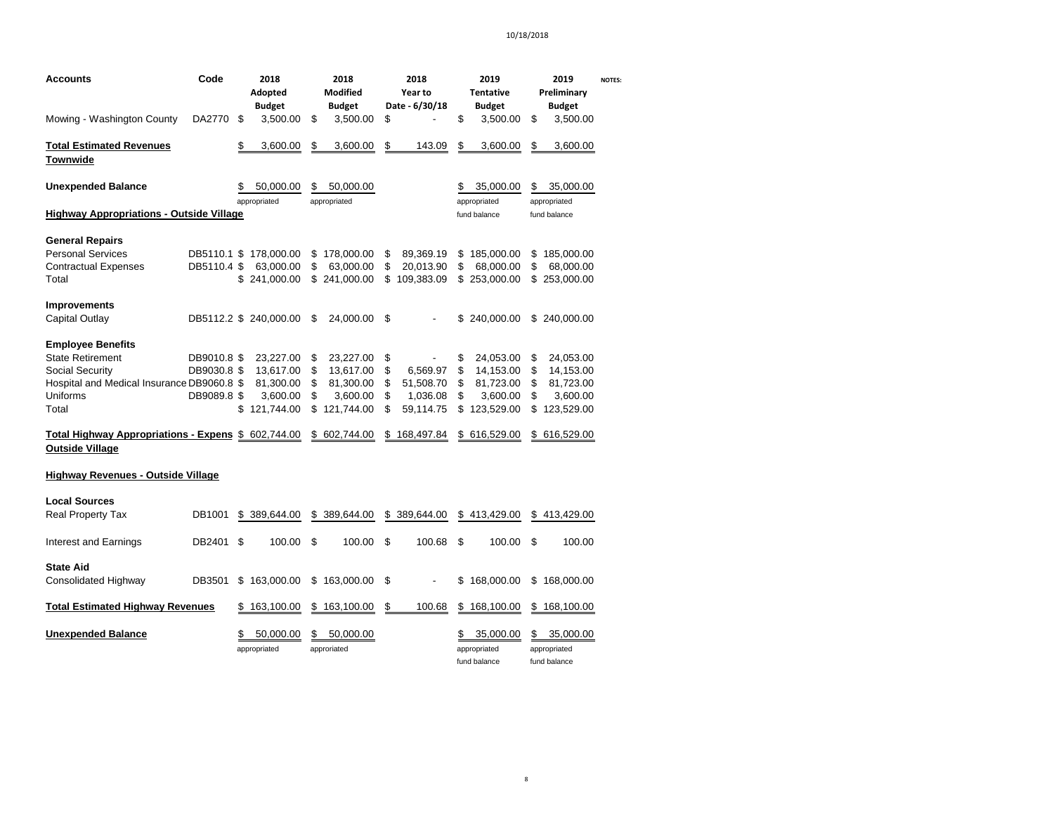| <b>Accounts</b>                                                               | Code        |    | 2018<br>Adopted<br><b>Budget</b> |    | 2018<br><b>Modified</b><br><b>Budget</b> | 2018<br>Year to<br>Date - 6/30/18 | 2019<br><b>Tentative</b><br><b>Budget</b> |    | 2019<br>Preliminary<br><b>Budget</b>      | <b>NOTES:</b> |
|-------------------------------------------------------------------------------|-------------|----|----------------------------------|----|------------------------------------------|-----------------------------------|-------------------------------------------|----|-------------------------------------------|---------------|
| Mowing - Washington County                                                    | DA2770      | \$ | 3,500.00                         | \$ | 3,500.00                                 | \$                                | \$<br>3,500.00                            | \$ | 3,500.00                                  |               |
| <b>Total Estimated Revenues</b><br>Townwide                                   |             | \$ | 3,600.00                         | \$ | 3,600.00                                 | \$<br>143.09                      | \$<br>3,600.00                            | \$ | 3,600.00                                  |               |
| <b>Unexpended Balance</b>                                                     |             | \$ | 50,000.00                        | \$ | 50,000.00                                |                                   | \$<br>35,000.00                           | \$ | 35,000.00                                 |               |
| <b>Highway Appropriations - Outside Village</b>                               |             |    | appropriated                     |    | appropriated                             |                                   | appropriated<br>fund balance              |    | appropriated<br>fund balance              |               |
| <b>General Repairs</b>                                                        |             |    |                                  |    |                                          |                                   |                                           |    |                                           |               |
| <b>Personal Services</b>                                                      | DB5110.1 \$ |    | 178,000.00                       | \$ | 178,000.00                               | \$<br>89,369.19                   | \$<br>185,000.00                          | \$ | 185,000.00                                |               |
| <b>Contractual Expenses</b>                                                   | DB5110.4 \$ |    | 63,000.00                        | \$ | 63,000.00                                | \$<br>20,013.90                   | \$<br>68,000.00                           | \$ | 68,000.00                                 |               |
| Total                                                                         |             | \$ | 241,000.00                       | \$ | 241,000.00                               | \$<br>109,383.09                  | \$253,000.00                              | \$ | 253,000.00                                |               |
| Improvements                                                                  |             |    |                                  |    |                                          |                                   |                                           |    |                                           |               |
| Capital Outlay                                                                |             |    | DB5112.2 \$ 240,000.00           | S  | 24,000.00                                | \$                                | \$<br>240,000.00                          | \$ | 240,000.00                                |               |
| <b>Employee Benefits</b>                                                      |             |    |                                  |    |                                          |                                   |                                           |    |                                           |               |
| <b>State Retirement</b>                                                       | DB9010.8 \$ |    | 23,227.00                        | \$ | 23,227.00                                | \$<br>$\overline{\phantom{0}}$    | \$<br>24,053.00                           | \$ | 24,053.00                                 |               |
| Social Security                                                               | DB9030.8 \$ |    | 13,617.00                        | \$ | 13,617.00                                | \$<br>6,569.97                    | \$<br>14,153.00                           | \$ | 14,153.00                                 |               |
| Hospital and Medical Insurance DB9060.8 \$                                    |             |    | 81,300.00                        | \$ | 81,300.00                                | \$<br>51,508.70                   | \$<br>81,723.00                           | \$ | 81,723.00                                 |               |
| Uniforms                                                                      | DB9089.8 \$ |    | 3,600.00                         | \$ | 3,600.00                                 | \$<br>1,036.08                    | \$<br>3,600.00                            | \$ | 3,600.00                                  |               |
| Total                                                                         |             | \$ | 121.744.00                       | \$ | 121.744.00                               | \$<br>59.114.75                   | \$<br>123,529.00                          | \$ | 123,529.00                                |               |
| Total Highway Appropriations - Expens \$ 602,744.00<br><b>Outside Village</b> |             |    |                                  |    | \$ 602,744.00                            | \$<br>168,497.84                  | \$<br>616,529.00                          | S  | 616,529.00                                |               |
|                                                                               |             |    |                                  |    |                                          |                                   |                                           |    |                                           |               |
| Highway Revenues - Outside Village                                            |             |    |                                  |    |                                          |                                   |                                           |    |                                           |               |
| <b>Local Sources</b>                                                          |             |    |                                  |    |                                          |                                   |                                           |    |                                           |               |
| <b>Real Property Tax</b>                                                      | DB1001      | S  | 389,644.00                       |    | \$ 389,644,00                            | \$<br>389.644.00                  | \$<br>413.429.00                          |    | \$413,429.00                              |               |
| Interest and Earnings                                                         | DB2401      | \$ | 100.00                           | \$ | 100.00                                   | \$<br>100.68                      | \$<br>100.00                              | \$ | 100.00                                    |               |
| <b>State Aid</b>                                                              |             |    |                                  |    |                                          |                                   |                                           |    |                                           |               |
| Consolidated Highway                                                          | DB3501      | \$ | 163,000.00                       |    | \$163,000.00                             | \$                                | \$<br>168,000.00                          | \$ | 168,000.00                                |               |
| <b>Total Estimated Highway Revenues</b>                                       |             | \$ | 163,100.00                       |    | \$163,100.00                             | \$<br>100.68                      | \$168,100.00                              |    | \$168,100.00                              |               |
| <b>Unexpended Balance</b>                                                     |             | \$ | 50,000.00<br>appropriated        |    | 50,000.00<br>approriated                 |                                   | 35,000.00<br>appropriated<br>fund balance | \$ | 35,000.00<br>appropriated<br>fund balance |               |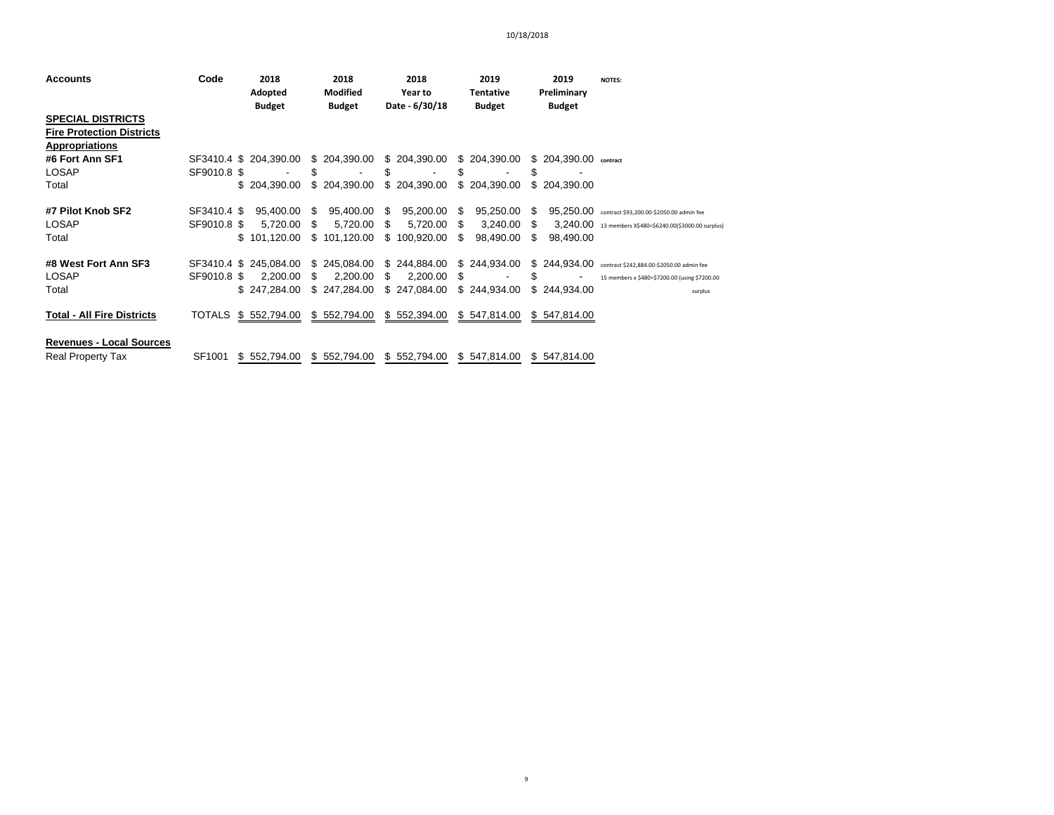| <b>Accounts</b>                   | Code        | 2018                   |      | 2018          |      | 2018           |      | 2019          |    | 2019                   | <b>NOTES:</b>                                           |
|-----------------------------------|-------------|------------------------|------|---------------|------|----------------|------|---------------|----|------------------------|---------------------------------------------------------|
|                                   |             | Adopted                |      | Modified      |      | Year to        |      | Tentative     |    | Preliminary            |                                                         |
|                                   |             | <b>Budget</b>          |      | <b>Budget</b> |      | Date - 6/30/18 |      | <b>Budget</b> |    | <b>Budget</b>          |                                                         |
| <b>SPECIAL DISTRICTS</b>          |             |                        |      |               |      |                |      |               |    |                        |                                                         |
| <b>Fire Protection Districts</b>  |             |                        |      |               |      |                |      |               |    |                        |                                                         |
| <b>Appropriations</b>             |             |                        |      |               |      |                |      |               |    |                        |                                                         |
| #6 Fort Ann SF1                   |             | SF3410.4 \$ 204.390.00 |      | \$204,390.00  |      | \$204,390.00   |      | \$204,390.00  |    | $$204.390.00$ contract |                                                         |
| <b>LOSAP</b>                      | SF9010.8 \$ |                        | \$   |               | S    |                | S    |               | \$ |                        |                                                         |
| Total                             |             | \$204.390.00           |      | \$204,390.00  |      | \$204,390.00   |      | \$204,390.00  |    | \$204,390,00           |                                                         |
| #7 Pilot Knob SF2                 | SF3410.4 \$ | 95,400.00              | - \$ | 95,400.00     | - \$ | 95,200.00 \$   |      | 95,250.00     | -S |                        | 95,250.00 contract \$93,200.00-\$2050.00 admin fee      |
| <b>LOSAP</b>                      | SF9010.8 \$ | 5,720.00               | \$.  | 5,720.00      | S.   | 5,720.00       | - \$ | 3,240.00      | S. |                        | 3,240.00 13 members X\$480=\$6240.00(\$3000.00 surplus) |
| Total                             |             | 101,120.00             |      | \$101,120.00  |      | \$100,920.00   | \$.  | 98,490.00     | S  | 98,490.00              |                                                         |
| #8 West Fort Ann SF3              |             | SF3410.4 \$ 245,084.00 |      | \$245,084.00  |      | \$244,884.00   |      | \$244,934.00  |    |                        | \$244,934.00 contract \$242,884.00-\$2050.00 admin fee  |
| <b>LOSAP</b>                      | SF9010.8 \$ | 2.200.00               | -S   | 2.200.00      | S.   | $2,200.00$ \$  |      |               | \$ |                        | 15 members x \$480=\$7200.00 (using \$7200.00           |
| Total                             |             | \$247.284.00           |      | \$247,284.00  |      | \$247,084.00   |      | \$244,934.00  |    | \$244,934.00           | surplus                                                 |
| <b>Total - All Fire Districts</b> |             | TOTALS \$ 552,794.00   |      | \$552,794.00  |      | \$552,394.00   |      | \$547,814.00  |    | \$547,814.00           |                                                         |
| <b>Revenues - Local Sources</b>   |             |                        |      |               |      |                |      |               |    |                        |                                                         |
| <b>Real Property Tax</b>          | SF1001      | \$552,794.00           |      | \$552,794.00  |      | \$552,794.00   |      | \$547,814.00  |    | \$547,814.00           |                                                         |